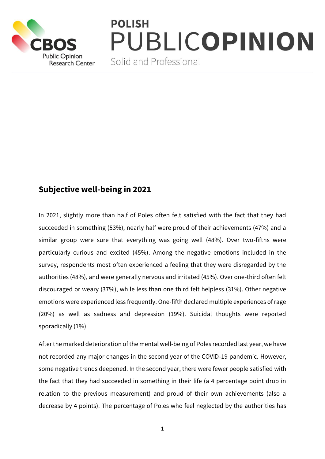

## **POLISH** PUBLICOPINION

Solid and Professional

## **Subjective well-being in 2021**

In 2021, slightly more than half of Poles often felt satisfied with the fact that they had succeeded in something (53%), nearly half were proud of their achievements (47%) and a similar group were sure that everything was going well (48%). Over two-fifths were particularly curious and excited (45%). Among the negative emotions included in the survey, respondents most often experienced a feeling that they were disregarded by the authorities (48%), and were generally nervous and irritated (45%). Over one-third often felt discouraged or weary (37%), while less than one third felt helpless (31%). Other negative emotions were experienced less frequently. One-fifth declared multiple experiences of rage (20%) as well as sadness and depression (19%). Suicidal thoughts were reported sporadically (1%).

After the marked deterioration of the mental well-being of Poles recorded last year, we have not recorded any major changes in the second year of the COVID-19 pandemic. However, some negative trends deepened. In the second year, there were fewer people satisfied with the fact that they had succeeded in something in their life (a 4 percentage point drop in relation to the previous measurement) and proud of their own achievements (also a decrease by 4 points). The percentage of Poles who feel neglected by the authorities has